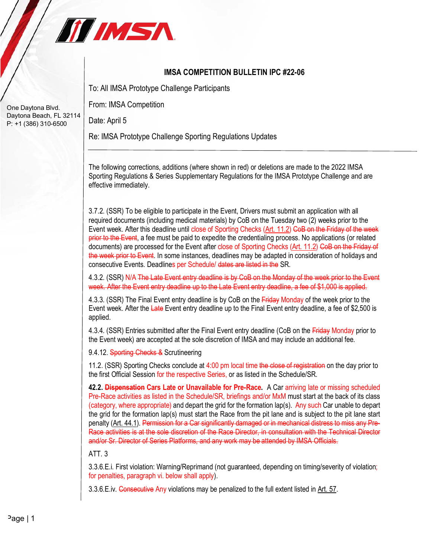

## **IMSA COMPETITION BULLETIN IPC #22-06**

To: All IMSA Prototype Challenge Participants

From: IMSA Competition

Date: April 5

Re: IMSA Prototype Challenge Sporting Regulations Updates

The following corrections, additions (where shown in red) or deletions are made to the 2022 IMSA Sporting Regulations & Series Supplementary Regulations for the IMSA Prototype Challenge and are effective immediately.

3.7.2. (SSR) To be eligible to participate in the Event, Drivers must submit an application with all required documents (including medical materials) by CoB on the Tuesday two (2) weeks prior to the Event week. After this deadline until close of Sporting Checks (Art. 11.2) GoB on the Friday of the week prior to the Event, a fee must be paid to expedite the credentialing process. No applications (or related documents) are processed for the Event after close of Sporting Checks (Art. 11.2) CoB on the Friday of the week prior to Event. In some instances, deadlines may be adapted in consideration of holidays and consecutive Events. Deadlines per Schedule/ dates are listed in the SR.

4.3.2. (SSR) N/A The Late Event entry deadline is by CoB on the Monday of the week prior to the Event week. After the Event entry deadline up to the Late Event entry deadline, a fee of \$1,000 is applied.

4.3.3. (SSR) The Final Event entry deadline is by CoB on the Friday Monday of the week prior to the Event week. After the Late Event entry deadline up to the Final Event entry deadline, a fee of \$2,500 is applied.

4.3.4. (SSR) Entries submitted after the Final Event entry deadline (CoB on the Friday Monday prior to the Event week) are accepted at the sole discretion of IMSA and may include an additional fee.

9.4.12. Sporting Checks & Scrutineering

11.2. (SSR) Sporting Checks conclude at 4:00 pm local time the close of registration on the day prior to the first Official Session for the respective Series, or as listed in the Schedule/SR.

**42.2. Dispensation Cars Late or Unavailable for Pre-Race.** A Car arriving late or missing scheduled Pre-Race activities as listed in the Schedule/SR, briefings and/or MxM must start at the back of its class (category, where appropriate) and depart the grid for the formation lap(s). Any such Car unable to depart the grid for the formation lap(s) must start the Race from the pit lane and is subject to the pit lane start penalty (Art. 44.1). Permission for a Car significantly damaged or in mechanical distress to miss any Pre-Race activities is at the sole discretion of the Race Director, in consultation with the Technical Director and/or Sr. Director of Series Platforms, and any work may be attended by IMSA Officials.

ATT. 3

3.3.6.E.i. First violation: Warning/Reprimand (not guaranteed, depending on timing/severity of violation; for penalties, paragraph vi. below shall apply).

3.3.6. E.iv. Consecutive Any violations may be penalized to the full extent listed in Art. 57.

One Daytona Blvd. Daytona Beach, FL 32114 P: +1 (386) 310-6500